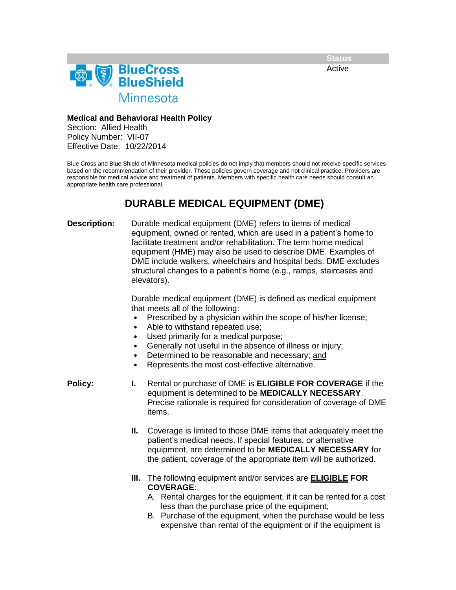**Status**

Active



**Medical and Behavioral Health Policy**

Section: Allied Health Policy Number: VII-07 Effective Date: 10/22/2014

Blue Cross and Blue Shield of Minnesota medical policies do not imply that members should not receive specific services based on the recommendation of their provider. These policies govern coverage and not clinical practice. Providers are responsible for medical advice and treatment of patients. Members with specific health care needs should consult an appropriate health care professional.

## **DURABLE MEDICAL EQUIPMENT (DME)**

**Description:** Durable medical equipment (DME) refers to items of medical equipment, owned or rented, which are used in a patient's home to facilitate treatment and/or rehabilitation. The term home medical equipment (HME) may also be used to describe DME. Examples of DME include walkers, wheelchairs and hospital beds. DME excludes structural changes to a patient's home (e.g., ramps, staircases and elevators).

> Durable medical equipment (DME) is defined as medical equipment that meets all of the following:

- Prescribed by a physician within the scope of his/her license;
- Able to withstand repeated use;
- Used primarily for a medical purpose;
- Generally not useful in the absence of illness or injury;
- Determined to be reasonable and necessary; and
- Represents the most cost-effective alternative.

- **Policy: I.** Rental or purchase of DME is **ELIGIBLE FOR COVERAGE** if the equipment is determined to be **MEDICALLY NECESSARY**. Precise rationale is required for consideration of coverage of DME items.
	- **II.** Coverage is limited to those DME items that adequately meet the patient's medical needs. If special features, or alternative equipment, are determined to be **MEDICALLY NECESSARY** for the patient, coverage of the appropriate item will be authorized.
	- **III.** The following equipment and/or services are **ELIGIBLE FOR COVERAGE**:
		- A. Rental charges for the equipment, if it can be rented for a cost less than the purchase price of the equipment;
		- B. Purchase of the equipment, when the purchase would be less expensive than rental of the equipment or if the equipment is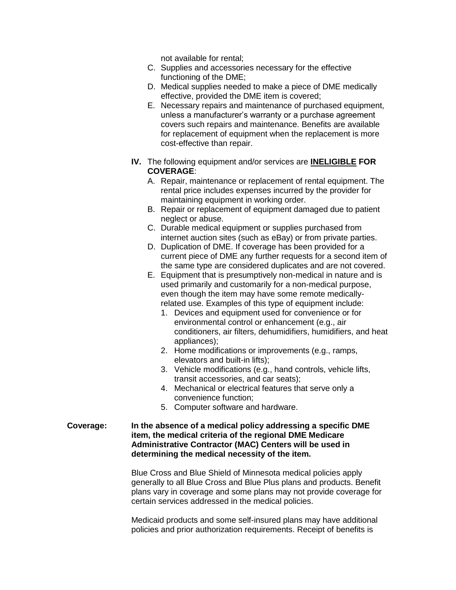not available for rental;

- C. Supplies and accessories necessary for the effective functioning of the DME;
- D. Medical supplies needed to make a piece of DME medically effective, provided the DME item is covered;
- E. Necessary repairs and maintenance of purchased equipment, unless a manufacturer's warranty or a purchase agreement covers such repairs and maintenance. Benefits are available for replacement of equipment when the replacement is more cost-effective than repair.
- **IV.** The following equipment and/or services are **INELIGIBLE FOR COVERAGE**:
	- A. Repair, maintenance or replacement of rental equipment. The rental price includes expenses incurred by the provider for maintaining equipment in working order.
	- B. Repair or replacement of equipment damaged due to patient neglect or abuse.
	- C. Durable medical equipment or supplies purchased from internet auction sites (such as eBay) or from private parties.
	- D. Duplication of DME. If coverage has been provided for a current piece of DME any further requests for a second item of the same type are considered duplicates and are not covered.
	- E. Equipment that is presumptively non-medical in nature and is used primarily and customarily for a non-medical purpose, even though the item may have some remote medicallyrelated use. Examples of this type of equipment include:
		- 1. Devices and equipment used for convenience or for environmental control or enhancement (e.g., air conditioners, air filters, dehumidifiers, humidifiers, and heat appliances);
		- 2. Home modifications or improvements (e.g., ramps, elevators and built-in lifts);
		- 3. Vehicle modifications (e.g., hand controls, vehicle lifts, transit accessories, and car seats);
		- 4. Mechanical or electrical features that serve only a convenience function;
		- 5. Computer software and hardware.

## **Coverage: In the absence of a medical policy addressing a specific DME item, the medical criteria of the regional DME Medicare Administrative Contractor (MAC) Centers will be used in determining the medical necessity of the item.**

Blue Cross and Blue Shield of Minnesota medical policies apply generally to all Blue Cross and Blue Plus plans and products. Benefit plans vary in coverage and some plans may not provide coverage for certain services addressed in the medical policies.

Medicaid products and some self-insured plans may have additional policies and prior authorization requirements. Receipt of benefits is